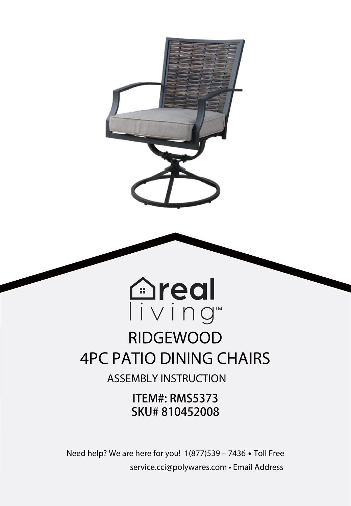

# Tiving™ RIDGEWOOD 4PC PATIO DINING CHAIRS

**Areal** 

ASSEMBLY INSTRUCTION

ITEM#: RMS5373 SKU# 810452008

Need help? We are here for you! 1(877)539 – 7436 **•** Toll Free service.cci@polywares.com • Email Address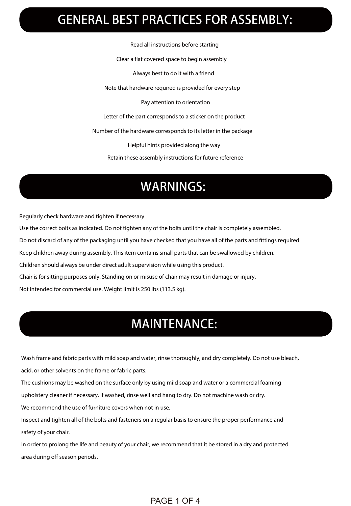### GENERAL BEST PRACTICES FOR ASSEMBLY:

Read all instructions before starting

Clear a flat covered space to begin assembly

Always best to do it with a friend

Note that hardware required is provided for every step

Pay attention to orientation

Letter of the part corresponds to a sticker on the product

Number of the hardware corresponds to its letter in the package

Helpful hints provided along the way

Retain these assembly instructions for future reference

### WARNINGS:

Regularly check hardware and tighten if necessary

Use the correct bolts as indicated. Do not tighten any of the bolts until the chair is completely assembled.

Do not discard of any of the packaging until you have checked that you have all of the parts and ttings required.

Keep children away during assembly. This item contains small parts that can be swallowed by children.

Children should always be under direct adult supervision while using this product.

Chair is for sitting purposes only. Standing on or misuse of chair may result in damage or injury.

Not intended for commercial use. Weight limit is 250 lbs (113.5 kg).

### MAINTENANCE:

Wash frame and fabric parts with mild soap and water, rinse thoroughly, and dry completely. Do not use bleach,

acid, or other solvents on the frame or fabric parts.

The cushions may be washed on the surface only by using mild soap and water or a commercial foaming

upholstery cleaner if necessary. If washed, rinse well and hang to dry. Do not machine wash or dry.

We recommend the use of furniture covers when not in use.

Inspect and tighten all of the bolts and fasteners on a regular basis to ensure the proper performance and safety of your chair.

In order to prolong the life and beauty of your chair, we recommend that it be stored in a dry and protected area during off season periods.

#### PAGE 1 OF 4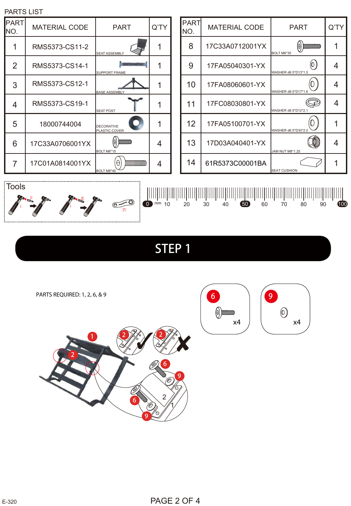





## STEP 1



PARTS REQUIRED: 1, 2, 6, & 9

| PART<br>NO. | <b>MATERIAL CODE</b> | PART                               | O'TY |
|-------------|----------------------|------------------------------------|------|
|             | RMS5373-CS11-2       | <b>SEAT ASSEMBLY</b>               |      |
| 2           | RMS5373-CS14-1       | <b>SUPPORT FRAME</b>               |      |
| 3           | RMS5373-CS12-1       | <b>BASE ASSEMBLY</b>               |      |
| 4           | RMS5373-CS19-1       | <b>SEAT POST</b>                   |      |
| 5           | 18000744004          | <b>DECORATIVE</b><br>PLASTIC COVER |      |
| 6           | 17C33A0706001YX      | <b>MINIMUM</b><br>BOLT M6*15       |      |
| 7           | 17C01A0814001YX      | BOLT M8*40                         |      |

| FARTO LIOT         |                      |                                    |      |  |             |                      |                                                  |                  |  |  |  |
|--------------------|----------------------|------------------------------------|------|--|-------------|----------------------|--------------------------------------------------|------------------|--|--|--|
| <b>PART</b><br>NO. | <b>MATERIAL CODE</b> | <b>PART</b>                        | Q'TY |  | PART<br>NO. | <b>MATERIAL CODE</b> | <b>PART</b>                                      | $Q^T$            |  |  |  |
|                    | RMS5373-CS11-2       | <b>SEAT ASSEMBLY</b>               |      |  | 8           | 17C33A0712001YX      | $\left(\theta\right)$ municipality<br>BOLT M6*35 |                  |  |  |  |
| 2                  | RMS5373-CS14-1       | <b>SUPPORT FRAME</b>               | 1    |  | 9           | 17FA05040301-YX      | WASHER d6.5*D13*1.0                              | 4                |  |  |  |
| 3                  | RMS5373-CS12-1       | <b>BASE ASSEMBLY</b>               | 4    |  | 10          | 17FA08060601-YX      | U<br>WASHER d8.5*D17*1.6                         | 4                |  |  |  |
| 4                  | RMS5373-CS19-1       | <b>SEAT POST</b>                   |      |  | 11          | 17FC08030801-YX      | Z<br>WASHER d8.5*D12*2.1                         | $\boldsymbol{4}$ |  |  |  |
| 5                  | 18000744004          | DECORATIVE<br><b>PLASTIC COVER</b> |      |  | 12          | 17FA05100701-YX      | WASHER d6.5*D30*2.0                              |                  |  |  |  |
| 6                  | 17C33A0706001YX      | $(\theta)$ bununump<br>BOLT M6*15  | 4    |  | 13          | 17D03A040401-YX      | JAM NUT M8*1.25                                  | 4                |  |  |  |
| 7                  | 17C01A0814001YX      | $\Theta$<br>BOLT M8*40             | 4    |  | 14          | 61R5373C00001BA      | <b>SEAT CUSHION</b>                              |                  |  |  |  |

 $\begin{picture}(150,10) \put(0,0){\line(1,0){100}} \put(10,0){\line(1,0){100}} \put(10,0){\line(1,0){100}} \put(10,0){\line(1,0){100}} \put(10,0){\line(1,0){100}} \put(10,0){\line(1,0){100}} \put(10,0){\line(1,0){100}} \put(10,0){\line(1,0){100}} \put(10,0){\line(1,0){100}} \put(10,0){\line(1,0){100}} \put(10,0){\line(1,0){100}}$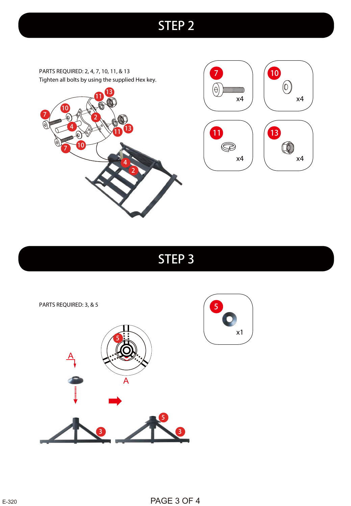### STEP 2

 $(\ominus)$ 

 $\circledS$ 

PARTS REQUIRED: 2, 4, 7, 10, 11, & 13 Tighten all bolts by using the supplied Hex key.





STEP 3

PARTS REQUIRED: 3, & 5